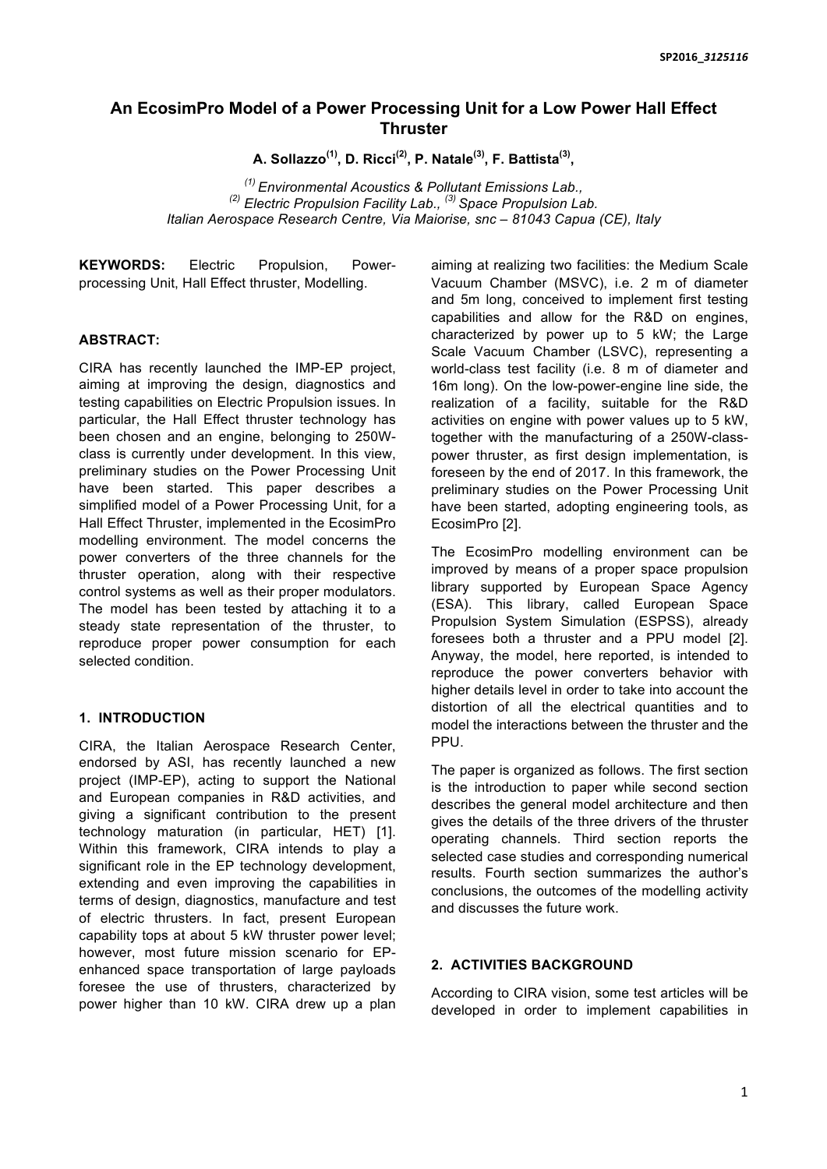# **An EcosimPro Model of a Power Processing Unit for a Low Power Hall Effect Thruster**

**A. Sollazzo(1) , D. Ricci(2) , P. Natale(3) , F. Battista(3) ,**

*(1) Environmental Acoustics & Pollutant Emissions Lab., (2) Electric Propulsion Facility Lab., (3) Space Propulsion Lab. Italian Aerospace Research Centre, Via Maiorise, snc – 81043 Capua (CE), Italy*

**KEYWORDS:** Electric Propulsion, Powerprocessing Unit, Hall Effect thruster, Modelling.

# **ABSTRACT:**

CIRA has recently launched the IMP-EP project, aiming at improving the design, diagnostics and testing capabilities on Electric Propulsion issues. In particular, the Hall Effect thruster technology has been chosen and an engine, belonging to 250Wclass is currently under development. In this view, preliminary studies on the Power Processing Unit have been started. This paper describes a simplified model of a Power Processing Unit, for a Hall Effect Thruster, implemented in the EcosimPro modelling environment. The model concerns the power converters of the three channels for the thruster operation, along with their respective control systems as well as their proper modulators. The model has been tested by attaching it to a steady state representation of the thruster, to reproduce proper power consumption for each selected condition.

# **1. INTRODUCTION**

CIRA, the Italian Aerospace Research Center, endorsed by ASI, has recently launched a new project (IMP-EP), acting to support the National and European companies in R&D activities, and giving a significant contribution to the present technology maturation (in particular, HET) [1]. Within this framework, CIRA intends to play a significant role in the EP technology development, extending and even improving the capabilities in terms of design, diagnostics, manufacture and test of electric thrusters. In fact, present European capability tops at about 5 kW thruster power level; however, most future mission scenario for EPenhanced space transportation of large payloads foresee the use of thrusters, characterized by power higher than 10 kW. CIRA drew up a plan

aiming at realizing two facilities: the Medium Scale Vacuum Chamber (MSVC), i.e. 2 m of diameter and 5m long, conceived to implement first testing capabilities and allow for the R&D on engines, characterized by power up to 5 kW; the Large Scale Vacuum Chamber (LSVC), representing a world-class test facility (i.e. 8 m of diameter and 16m long). On the low-power-engine line side, the realization of a facility, suitable for the R&D activities on engine with power values up to 5 kW, together with the manufacturing of a 250W-classpower thruster, as first design implementation, is foreseen by the end of 2017. In this framework, the preliminary studies on the Power Processing Unit have been started, adopting engineering tools, as EcosimPro [2].

The EcosimPro modelling environment can be improved by means of a proper space propulsion library supported by European Space Agency (ESA). This library, called European Space Propulsion System Simulation (ESPSS), already foresees both a thruster and a PPU model [2]. Anyway, the model, here reported, is intended to reproduce the power converters behavior with higher details level in order to take into account the distortion of all the electrical quantities and to model the interactions between the thruster and the PPU.

The paper is organized as follows. The first section is the introduction to paper while second section describes the general model architecture and then gives the details of the three drivers of the thruster operating channels. Third section reports the selected case studies and corresponding numerical results. Fourth section summarizes the author's conclusions, the outcomes of the modelling activity and discusses the future work.

# **2. ACTIVITIES BACKGROUND**

According to CIRA vision, some test articles will be developed in order to implement capabilities in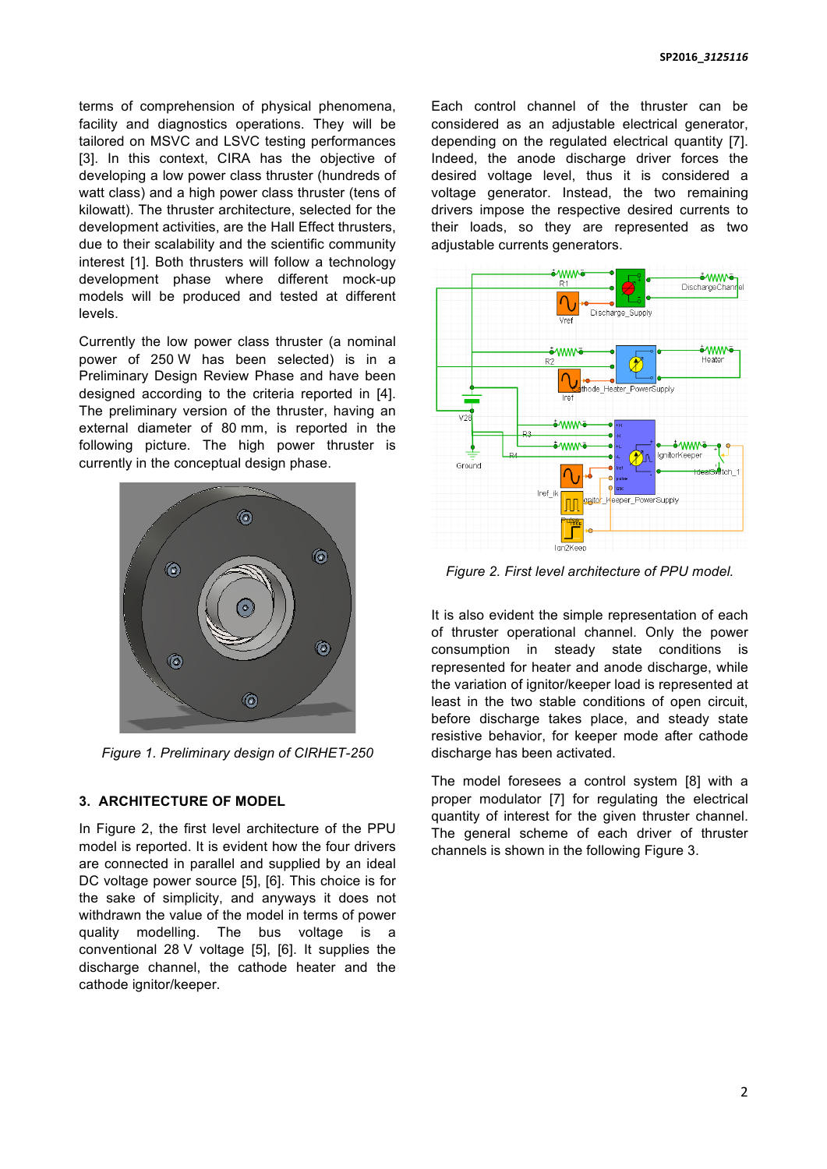terms of comprehension of physical phenomena, facility and diagnostics operations. They will be tailored on MSVC and LSVC testing performances [3]. In this context, CIRA has the objective of developing a low power class thruster (hundreds of watt class) and a high power class thruster (tens of kilowatt). The thruster architecture, selected for the development activities, are the Hall Effect thrusters, due to their scalability and the scientific community interest [1]. Both thrusters will follow a technology development phase where different mock-up models will be produced and tested at different levels.

Currently the low power class thruster (a nominal power of 250 W has been selected) is in a Preliminary Design Review Phase and have been designed according to the criteria reported in [4]. The preliminary version of the thruster, having an external diameter of 80 mm, is reported in the following picture. The high power thruster is currently in the conceptual design phase.



*Figure 1. Preliminary design of CIRHET-250*

## **3. ARCHITECTURE OF MODEL**

In Figure 2, the first level architecture of the PPU model is reported. It is evident how the four drivers are connected in parallel and supplied by an ideal DC voltage power source [5], [6]. This choice is for the sake of simplicity, and anyways it does not withdrawn the value of the model in terms of power quality modelling. The bus voltage is a conventional 28 V voltage [5], [6]. It supplies the discharge channel, the cathode heater and the cathode ignitor/keeper.

Each control channel of the thruster can be considered as an adjustable electrical generator, depending on the regulated electrical quantity [7]. Indeed, the anode discharge driver forces the desired voltage level, thus it is considered a voltage generator. Instead, the two remaining drivers impose the respective desired currents to their loads, so they are represented as two adjustable currents generators.



*Figure 2. First level architecture of PPU model.*

It is also evident the simple representation of each of thruster operational channel. Only the power consumption in steady state conditions is represented for heater and anode discharge, while the variation of ignitor/keeper load is represented at least in the two stable conditions of open circuit, before discharge takes place, and steady state resistive behavior, for keeper mode after cathode discharge has been activated.

The model foresees a control system [8] with a proper modulator [7] for regulating the electrical quantity of interest for the given thruster channel. The general scheme of each driver of thruster channels is shown in the following Figure 3.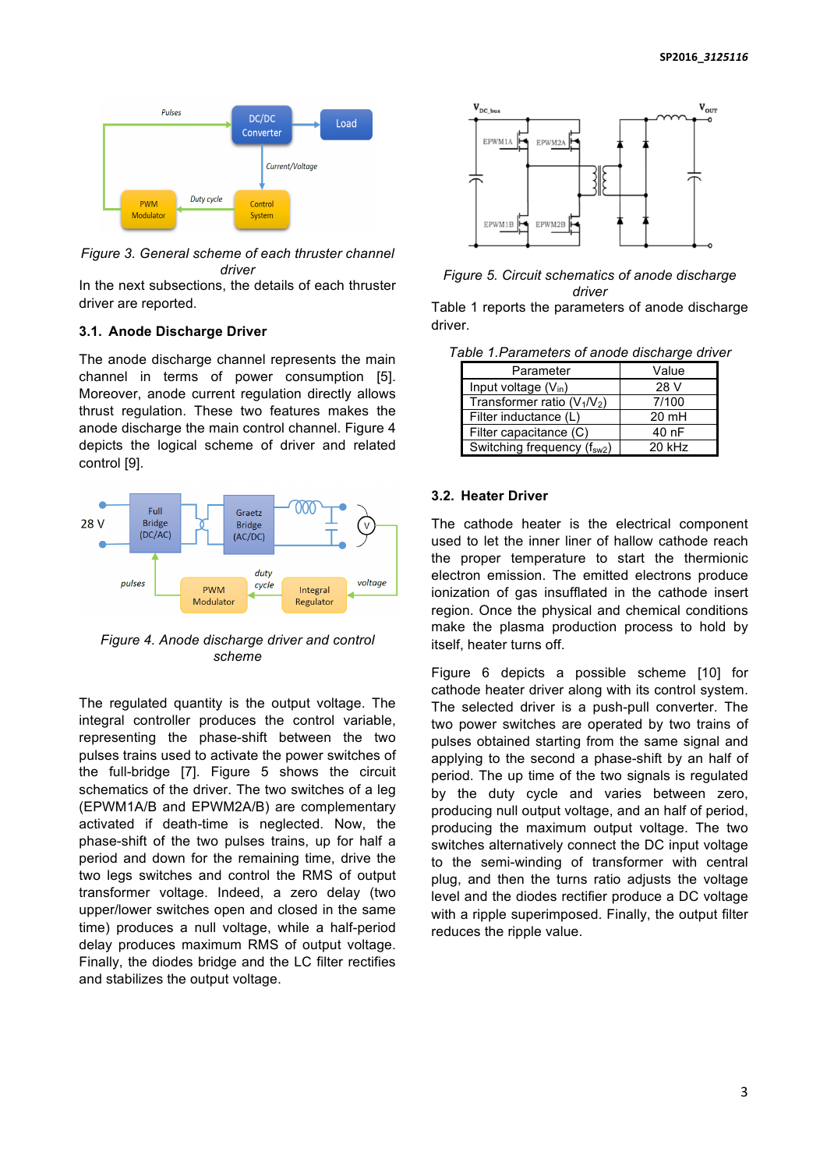

*Figure 3. General scheme of each thruster channel driver*

In the next subsections, the details of each thruster driver are reported.

#### **3.1. Anode Discharge Driver**

The anode discharge channel represents the main channel in terms of power consumption [5]. Moreover, anode current regulation directly allows thrust regulation. These two features makes the anode discharge the main control channel. Figure 4 depicts the logical scheme of driver and related control [9].



*Figure 4. Anode discharge driver and control scheme*

The regulated quantity is the output voltage. The integral controller produces the control variable, representing the phase-shift between the two pulses trains used to activate the power switches of the full-bridge [7]. Figure 5 shows the circuit schematics of the driver. The two switches of a leg (EPWM1A/B and EPWM2A/B) are complementary activated if death-time is neglected. Now, the phase-shift of the two pulses trains, up for half a period and down for the remaining time, drive the two legs switches and control the RMS of output transformer voltage. Indeed, a zero delay (two upper/lower switches open and closed in the same time) produces a null voltage, while a half-period delay produces maximum RMS of output voltage. Finally, the diodes bridge and the LC filter rectifies and stabilizes the output voltage.



#### *Figure 5. Circuit schematics of anode discharge driver*

Table 1 reports the parameters of anode discharge driver.

| Table 1. Parameters of anode discharge driver |  |  |
|-----------------------------------------------|--|--|
|                                               |  |  |

| Parameter                               | Value           |  |
|-----------------------------------------|-----------------|--|
| Input voltage $(V_{in})$                | 28 V            |  |
| Transformer ratio $(V_1/V_2)$           | 7/100           |  |
| Filter inductance (L)                   | $20 \text{ mH}$ |  |
| Filter capacitance (C)                  | 40 nF           |  |
| Switching frequency (f <sub>sw2</sub> ) | $20$ kHz        |  |

## **3.2. Heater Driver**

The cathode heater is the electrical component used to let the inner liner of hallow cathode reach the proper temperature to start the thermionic electron emission. The emitted electrons produce ionization of gas insufflated in the cathode insert region. Once the physical and chemical conditions make the plasma production process to hold by itself, heater turns off.

Figure 6 depicts a possible scheme [10] for cathode heater driver along with its control system. The selected driver is a push-pull converter. The two power switches are operated by two trains of pulses obtained starting from the same signal and applying to the second a phase-shift by an half of period. The up time of the two signals is regulated by the duty cycle and varies between zero, producing null output voltage, and an half of period, producing the maximum output voltage. The two switches alternatively connect the DC input voltage to the semi-winding of transformer with central plug, and then the turns ratio adjusts the voltage level and the diodes rectifier produce a DC voltage with a ripple superimposed. Finally, the output filter reduces the ripple value.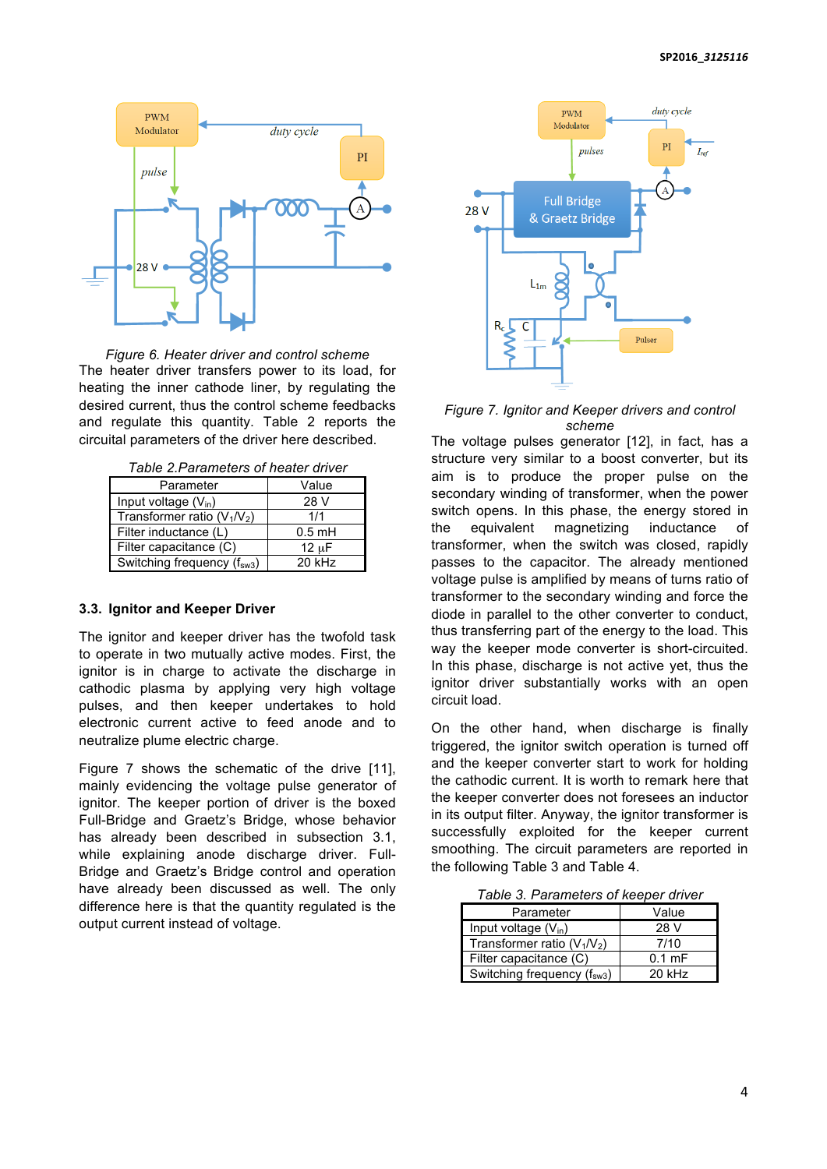

*Figure 6. Heater driver and control scheme* The heater driver transfers power to its load, for heating the inner cathode liner, by regulating the desired current, thus the control scheme feedbacks and regulate this quantity. Table 2 reports the circuital parameters of the driver here described.

|  | Table 2. Parameters of heater driver |  |  |
|--|--------------------------------------|--|--|
|--|--------------------------------------|--|--|

| Parameter                               | Value      |  |
|-----------------------------------------|------------|--|
| Input voltage (V <sub>in</sub> )        | 28 V       |  |
| Transformer ratio $(V_1/V_2)$           | 1/1        |  |
| Filter inductance (L)                   | $0.5$ mH   |  |
| Filter capacitance (C)                  | $12 \mu F$ |  |
| Switching frequency (f <sub>sw3</sub> ) | $20$ kHz   |  |

#### **3.3. Ignitor and Keeper Driver**

The ignitor and keeper driver has the twofold task to operate in two mutually active modes. First, the ignitor is in charge to activate the discharge in cathodic plasma by applying very high voltage pulses, and then keeper undertakes to hold electronic current active to feed anode and to neutralize plume electric charge.

Figure 7 shows the schematic of the drive [11]. mainly evidencing the voltage pulse generator of ignitor. The keeper portion of driver is the boxed Full-Bridge and Graetz's Bridge, whose behavior has already been described in subsection 3.1, while explaining anode discharge driver. Full-Bridge and Graetz's Bridge control and operation have already been discussed as well. The only difference here is that the quantity regulated is the output current instead of voltage.



*Figure 7. Ignitor and Keeper drivers and control scheme*

The voltage pulses generator [12], in fact, has a structure very similar to a boost converter, but its aim is to produce the proper pulse on the secondary winding of transformer, when the power switch opens. In this phase, the energy stored in the equivalent magnetizing inductance of transformer, when the switch was closed, rapidly passes to the capacitor. The already mentioned voltage pulse is amplified by means of turns ratio of transformer to the secondary winding and force the diode in parallel to the other converter to conduct, thus transferring part of the energy to the load. This way the keeper mode converter is short-circuited. In this phase, discharge is not active yet, thus the ignitor driver substantially works with an open circuit load.

On the other hand, when discharge is finally triggered, the ignitor switch operation is turned off and the keeper converter start to work for holding the cathodic current. It is worth to remark here that the keeper converter does not foresees an inductor in its output filter. Anyway, the ignitor transformer is successfully exploited for the keeper current smoothing. The circuit parameters are reported in the following Table 3 and Table 4.

*Table 3. Parameters of keeper driver*

| Parameter                               | Value            |
|-----------------------------------------|------------------|
| Input voltage $(V_{in})$                | 28 V             |
| Transformer ratio $(V_1/V_2)$           | 7/10             |
| Filter capacitance (C)                  | $0.1 \text{ mF}$ |
| Switching frequency (f <sub>sw3</sub> ) | $20$ kHz         |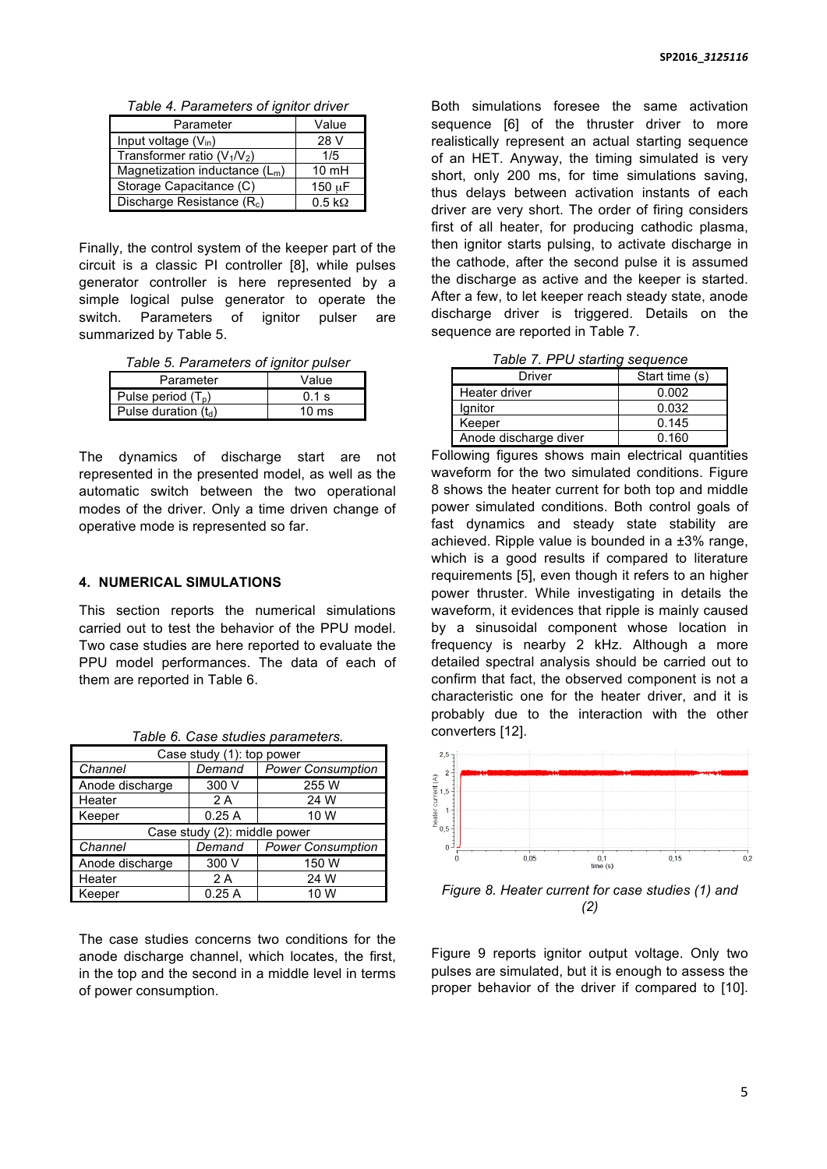*Table 4. Parameters of ignitor driver*

| Parameter                              | Value                 |
|----------------------------------------|-----------------------|
| Input voltage $(V_{in})$               | 28 V                  |
| Transformer ratio $(V_1/V_2)$          | 1/5                   |
| Magnetization inductance $(L_m)$       | $10 \text{ mH}$       |
| Storage Capacitance (C)                | 150 uF                |
| Discharge Resistance (R <sub>c</sub> ) | $0.5 \text{ k}\Omega$ |

Finally, the control system of the keeper part of the circuit is a classic PI controller [8], while pulses generator controller is here represented by a simple logical pulse generator to operate the switch. Parameters of ignitor pulser are summarized by Table 5.

*Table 5. Parameters of ignitor pulser*

| Parameter              | Value           |
|------------------------|-----------------|
| Pulse period $(T_{p})$ | $0.1$ s         |
| Pulse duration $(t_d)$ | $10 \text{ ms}$ |

The dynamics of discharge start are not represented in the presented model, as well as the automatic switch between the two operational modes of the driver. Only a time driven change of operative mode is represented so far.

#### **4. NUMERICAL SIMULATIONS**

This section reports the numerical simulations carried out to test the behavior of the PPU model. Two case studies are here reported to evaluate the PPU model performances. The data of each of them are reported in Table 6.

| Case study (1): top power    |        |                          |  |
|------------------------------|--------|--------------------------|--|
| Channel                      | Demand | <b>Power Consumption</b> |  |
| Anode discharge              | 300 V  | 255 W                    |  |
| Heater                       | 2 A    | 24 W                     |  |
| Keeper                       | 0.25A  | 10 W                     |  |
| Case study (2): middle power |        |                          |  |
| Channel                      | Demand | <b>Power Consumption</b> |  |
| Anode discharge              | 300 V  | 150 W                    |  |
| Heater                       | 2 A    | 24 W                     |  |
| Keeper                       | 0.25A  | 10 W                     |  |

*Table 6. Case studies parameters.*

The case studies concerns two conditions for the anode discharge channel, which locates, the first, in the top and the second in a middle level in terms of power consumption.

Both simulations foresee the same activation sequence [6] of the thruster driver to more realistically represent an actual starting sequence of an HET. Anyway, the timing simulated is very short, only 200 ms, for time simulations saving, thus delays between activation instants of each driver are very short. The order of firing considers first of all heater, for producing cathodic plasma, then ignitor starts pulsing, to activate discharge in the cathode, after the second pulse it is assumed the discharge as active and the keeper is started. After a few, to let keeper reach steady state, anode discharge driver is triggered. Details on the sequence are reported in Table 7.

*Table 7. PPU starting sequence*

| Driver                | Start time (s) |  |
|-----------------------|----------------|--|
| Heater driver         | 0.002          |  |
| lgnitor               | 0.032          |  |
| Keeper                | 0.145          |  |
| Anode discharge diver | 0.160          |  |

Following figures shows main electrical quantities waveform for the two simulated conditions. Figure 8 shows the heater current for both top and middle power simulated conditions. Both control goals of fast dynamics and steady state stability are achieved. Ripple value is bounded in a  $\pm 3\%$  range. which is a good results if compared to literature requirements [5], even though it refers to an higher power thruster. While investigating in details the waveform, it evidences that ripple is mainly caused by a sinusoidal component whose location in frequency is nearby 2 kHz. Although a more detailed spectral analysis should be carried out to confirm that fact, the observed component is not a characteristic one for the heater driver, and it is probably due to the interaction with the other converters [12].



*Figure 8. Heater current for case studies (1) and (2)*

Figure 9 reports ignitor output voltage. Only two pulses are simulated, but it is enough to assess the proper behavior of the driver if compared to [10].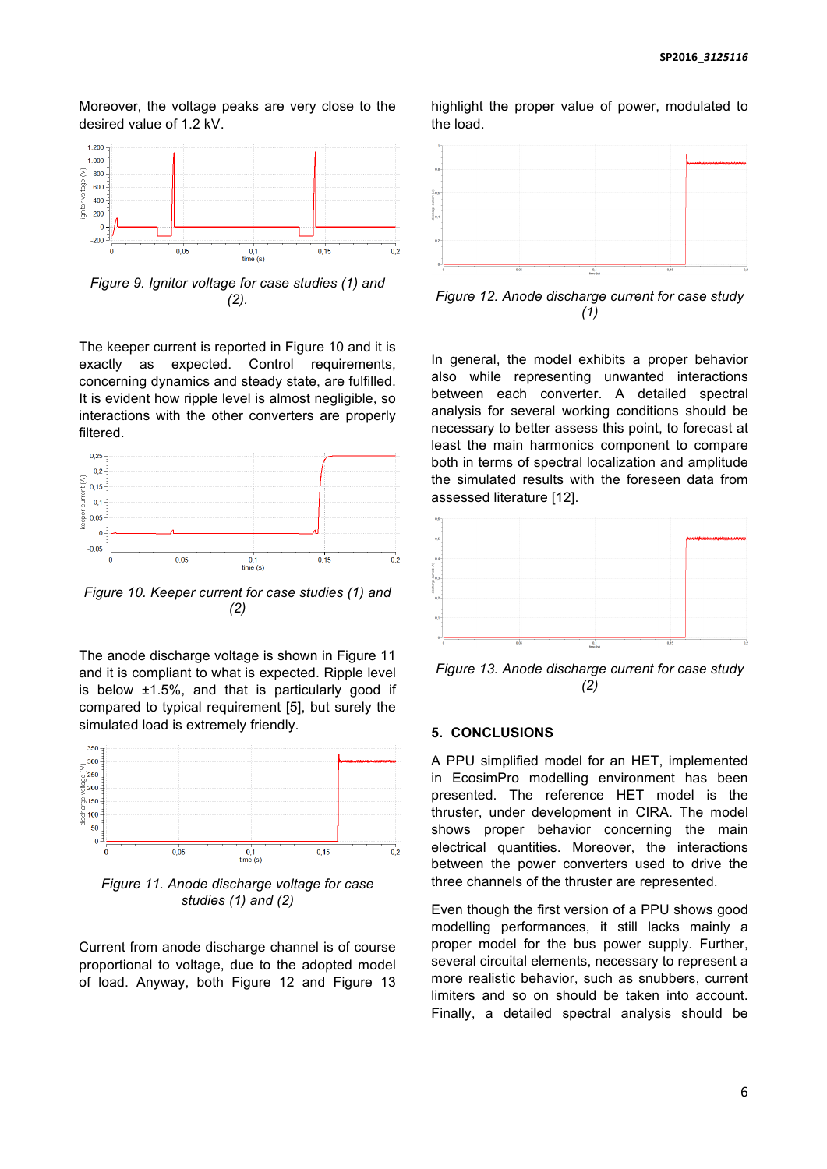Moreover, the voltage peaks are very close to the desired value of 1.2 kV.



*Figure 9. Ignitor voltage for case studies (1) and (2).*

The keeper current is reported in Figure 10 and it is exactly as expected. Control requirements, concerning dynamics and steady state, are fulfilled. It is evident how ripple level is almost negligible, so interactions with the other converters are properly filtered.



*Figure 10. Keeper current for case studies (1) and (2)*

The anode discharge voltage is shown in Figure 11 and it is compliant to what is expected. Ripple level is below ±1.5%, and that is particularly good if compared to typical requirement [5], but surely the simulated load is extremely friendly.



*Figure 11. Anode discharge voltage for case studies (1) and (2)*

Current from anode discharge channel is of course proportional to voltage, due to the adopted model of load. Anyway, both Figure 12 and Figure 13

highlight the proper value of power, modulated to the load.



*Figure 12. Anode discharge current for case study (1)*

In general, the model exhibits a proper behavior also while representing unwanted interactions between each converter. A detailed spectral analysis for several working conditions should be necessary to better assess this point, to forecast at least the main harmonics component to compare both in terms of spectral localization and amplitude the simulated results with the foreseen data from assessed literature [12].



*Figure 13. Anode discharge current for case study (2)*

## **5. CONCLUSIONS**

A PPU simplified model for an HET, implemented in EcosimPro modelling environment has been presented. The reference HET model is the thruster, under development in CIRA. The model shows proper behavior concerning the main electrical quantities. Moreover, the interactions between the power converters used to drive the three channels of the thruster are represented.

Even though the first version of a PPU shows good modelling performances, it still lacks mainly a proper model for the bus power supply. Further, several circuital elements, necessary to represent a more realistic behavior, such as snubbers, current limiters and so on should be taken into account. Finally, a detailed spectral analysis should be